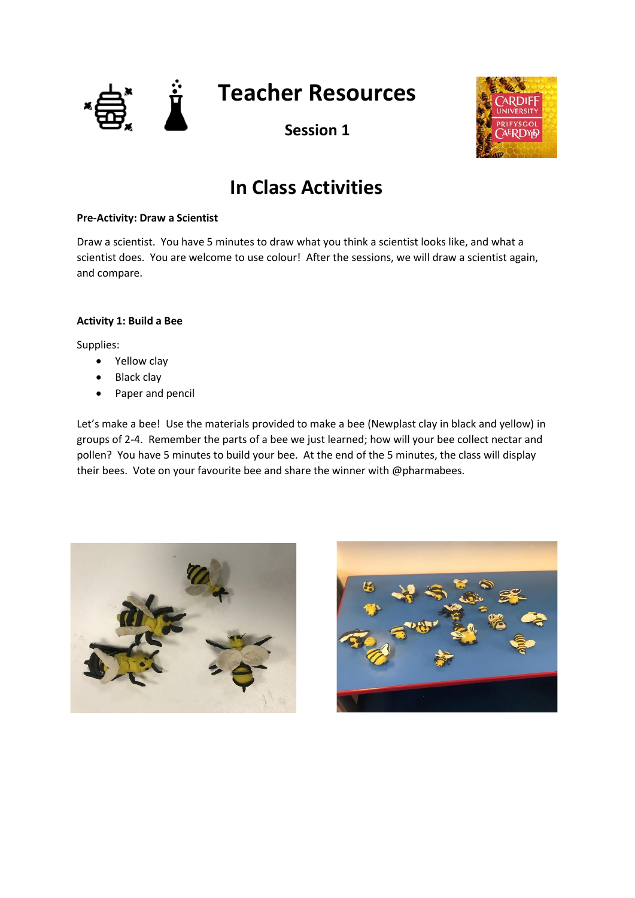



# **In Class Activities**

## **Pre-Activity: Draw a Scientist**

Draw a scientist. You have 5 minutes to draw what you think a scientist looks like, and what a scientist does. You are welcome to use colour! After the sessions, we will draw a scientist again, and compare.

# **Activity 1: Build a Bee**

Supplies:

- Yellow clay
- Black clay
- Paper and pencil

Let's make a bee! Use the materials provided to make a bee (Newplast clay in black and yellow) in groups of 2-4. Remember the parts of a bee we just learned; how will your bee collect nectar and pollen? You have 5 minutes to build your bee. At the end of the 5 minutes, the class will display their bees. Vote on your favourite bee and share the winner with @pharmabees.



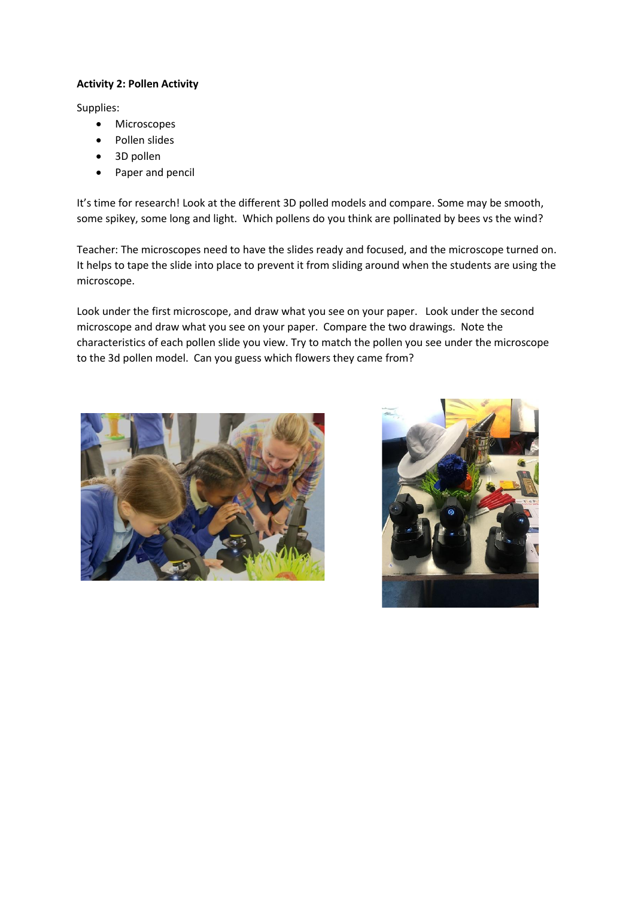# **Activity 2: Pollen Activity**

Supplies:

- Microscopes
- Pollen slides
- 3D pollen
- Paper and pencil

It's time for research! Look at the different 3D polled models and compare. Some may be smooth, some spikey, some long and light. Which pollens do you think are pollinated by bees vs the wind?

Teacher: The microscopes need to have the slides ready and focused, and the microscope turned on. It helps to tape the slide into place to prevent it from sliding around when the students are using the microscope.

Look under the first microscope, and draw what you see on your paper. Look under the second microscope and draw what you see on your paper. Compare the two drawings. Note the characteristics of each pollen slide you view. Try to match the pollen you see under the microscope to the 3d pollen model. Can you guess which flowers they came from?



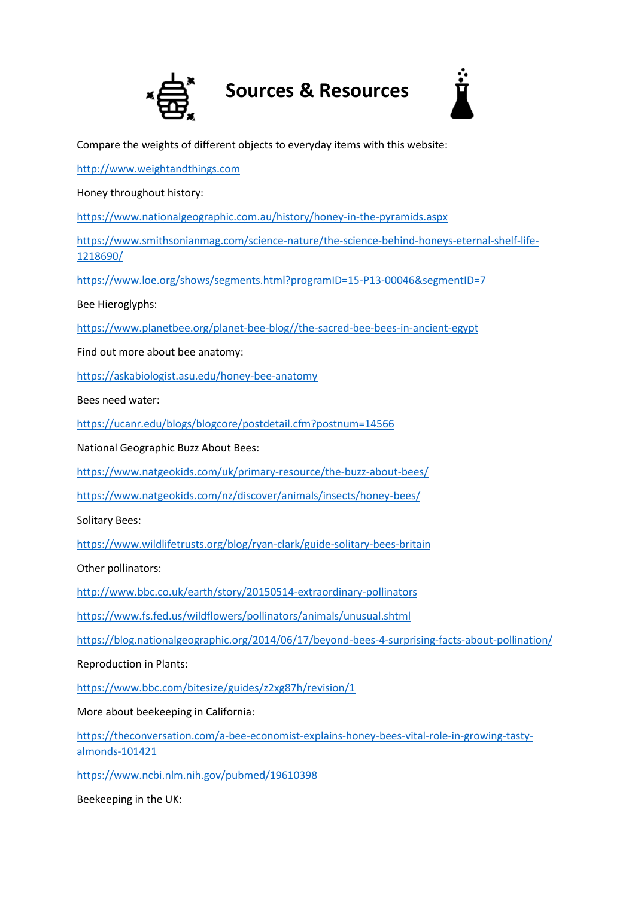



Compare the weights of different objects to everyday items with this website:

[http://www.weightandthings.com](http://www.weightandthings.com/)

Honey throughout history:

<https://www.nationalgeographic.com.au/history/honey-in-the-pyramids.aspx>

[https://www.smithsonianmag.com/science-nature/the-science-behind-honeys-eternal-shelf-life-](https://www.smithsonianmag.com/science-nature/the-science-behind-honeys-eternal-shelf-life-1218690/)[1218690/](https://www.smithsonianmag.com/science-nature/the-science-behind-honeys-eternal-shelf-life-1218690/)

<https://www.loe.org/shows/segments.html?programID=15-P13-00046&segmentID=7>

Bee Hieroglyphs:

[https://www.planetbee.org/planet-bee-blog//the-sacred-bee-bees-in-ancient-egypt](https://www.planetbee.org/planet-bee-blog/the-sacred-bee-bees-in-ancient-egypt)

Find out more about bee anatomy:

<https://askabiologist.asu.edu/honey-bee-anatomy>

Bees need water:

<https://ucanr.edu/blogs/blogcore/postdetail.cfm?postnum=14566>

National Geographic Buzz About Bees:

<https://www.natgeokids.com/uk/primary-resource/the-buzz-about-bees/>

<https://www.natgeokids.com/nz/discover/animals/insects/honey-bees/>

Solitary Bees:

<https://www.wildlifetrusts.org/blog/ryan-clark/guide-solitary-bees-britain>

Other pollinators:

<http://www.bbc.co.uk/earth/story/20150514-extraordinary-pollinators>

<https://www.fs.fed.us/wildflowers/pollinators/animals/unusual.shtml>

<https://blog.nationalgeographic.org/2014/06/17/beyond-bees-4-surprising-facts-about-pollination/>

Reproduction in Plants:

<https://www.bbc.com/bitesize/guides/z2xg87h/revision/1>

More about beekeeping in California:

[https://theconversation.com/a-bee-economist-explains-honey-bees-vital-role-in-growing-tasty](https://theconversation.com/a-bee-economist-explains-honey-bees-vital-role-in-growing-tasty-almonds-101421)[almonds-101421](https://theconversation.com/a-bee-economist-explains-honey-bees-vital-role-in-growing-tasty-almonds-101421)

<https://www.ncbi.nlm.nih.gov/pubmed/19610398>

Beekeeping in the UK: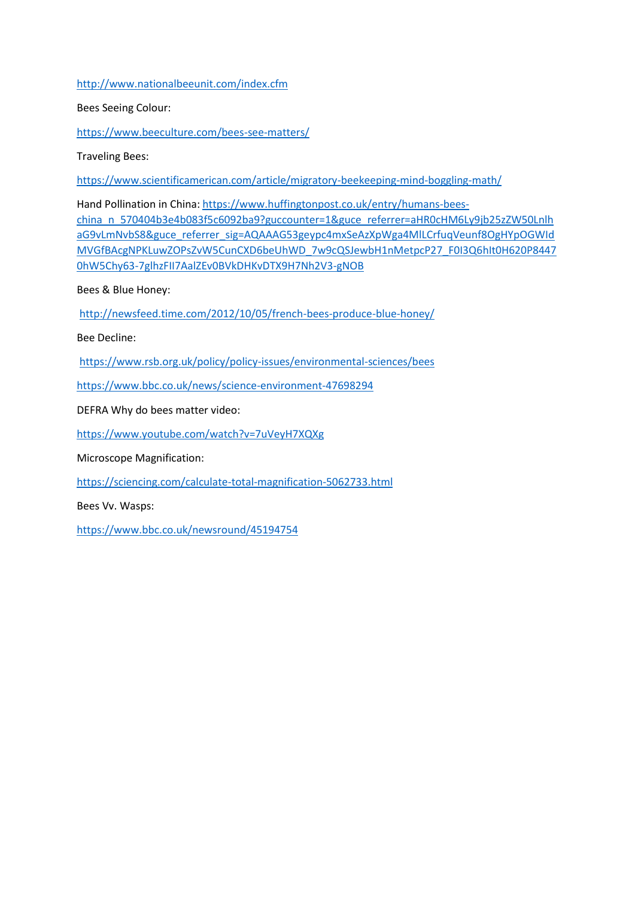# <http://www.nationalbeeunit.com/index.cfm>

### Bees Seeing Colour:

<https://www.beeculture.com/bees-see-matters/>

Traveling Bees:

<https://www.scientificamerican.com/article/migratory-beekeeping-mind-boggling-math/>

Hand Pollination in China: [https://www.huffingtonpost.co.uk/entry/humans-bees](https://www.huffingtonpost.co.uk/entry/humans-bees-china_n_570404b3e4b083f5c6092ba9?guccounter=1&guce_referrer=aHR0cHM6Ly9jb25zZW50LnlhaG9vLmNvbS8&guce_referrer_sig=AQAAAG53geypc4mxSeAzXpWga4MlLCrfuqVeunf8OgHYpOGWIdMVGfBAcgNPKLuwZOPsZvW5CunCXD6beUhWD_7w9cQSJewbH1nMetpcP27_F0I3Q6hIt0H620P84470hW5Chy63-7glhzFII7AalZEv0BVkDHKvDTX9H7Nh2V3-gNOB)[china\\_n\\_570404b3e4b083f5c6092ba9?guccounter=1&guce\\_referrer=aHR0cHM6Ly9jb25zZW50Lnlh](https://www.huffingtonpost.co.uk/entry/humans-bees-china_n_570404b3e4b083f5c6092ba9?guccounter=1&guce_referrer=aHR0cHM6Ly9jb25zZW50LnlhaG9vLmNvbS8&guce_referrer_sig=AQAAAG53geypc4mxSeAzXpWga4MlLCrfuqVeunf8OgHYpOGWIdMVGfBAcgNPKLuwZOPsZvW5CunCXD6beUhWD_7w9cQSJewbH1nMetpcP27_F0I3Q6hIt0H620P84470hW5Chy63-7glhzFII7AalZEv0BVkDHKvDTX9H7Nh2V3-gNOB) [aG9vLmNvbS8&guce\\_referrer\\_sig=AQAAAG53geypc4mxSeAzXpWga4MlLCrfuqVeunf8OgHYpOGWId](https://www.huffingtonpost.co.uk/entry/humans-bees-china_n_570404b3e4b083f5c6092ba9?guccounter=1&guce_referrer=aHR0cHM6Ly9jb25zZW50LnlhaG9vLmNvbS8&guce_referrer_sig=AQAAAG53geypc4mxSeAzXpWga4MlLCrfuqVeunf8OgHYpOGWIdMVGfBAcgNPKLuwZOPsZvW5CunCXD6beUhWD_7w9cQSJewbH1nMetpcP27_F0I3Q6hIt0H620P84470hW5Chy63-7glhzFII7AalZEv0BVkDHKvDTX9H7Nh2V3-gNOB) [MVGfBAcgNPKLuwZOPsZvW5CunCXD6beUhWD\\_7w9cQSJewbH1nMetpcP27\\_F0I3Q6hIt0H620P8447](https://www.huffingtonpost.co.uk/entry/humans-bees-china_n_570404b3e4b083f5c6092ba9?guccounter=1&guce_referrer=aHR0cHM6Ly9jb25zZW50LnlhaG9vLmNvbS8&guce_referrer_sig=AQAAAG53geypc4mxSeAzXpWga4MlLCrfuqVeunf8OgHYpOGWIdMVGfBAcgNPKLuwZOPsZvW5CunCXD6beUhWD_7w9cQSJewbH1nMetpcP27_F0I3Q6hIt0H620P84470hW5Chy63-7glhzFII7AalZEv0BVkDHKvDTX9H7Nh2V3-gNOB) [0hW5Chy63-7glhzFII7AalZEv0BVkDHKvDTX9H7Nh2V3-gNOB](https://www.huffingtonpost.co.uk/entry/humans-bees-china_n_570404b3e4b083f5c6092ba9?guccounter=1&guce_referrer=aHR0cHM6Ly9jb25zZW50LnlhaG9vLmNvbS8&guce_referrer_sig=AQAAAG53geypc4mxSeAzXpWga4MlLCrfuqVeunf8OgHYpOGWIdMVGfBAcgNPKLuwZOPsZvW5CunCXD6beUhWD_7w9cQSJewbH1nMetpcP27_F0I3Q6hIt0H620P84470hW5Chy63-7glhzFII7AalZEv0BVkDHKvDTX9H7Nh2V3-gNOB)

Bees & Blue Honey:

<http://newsfeed.time.com/2012/10/05/french-bees-produce-blue-honey/>

Bee Decline:

<https://www.rsb.org.uk/policy/policy-issues/environmental-sciences/bees>

https://www.bbc.co.uk/news/science-environment-47698294

DEFRA Why do bees matter video:

<https://www.youtube.com/watch?v=7uVeyH7XQXg>

Microscope Magnification:

<https://sciencing.com/calculate-total-magnification-5062733.html>

Bees Vv. Wasps:

<https://www.bbc.co.uk/newsround/45194754>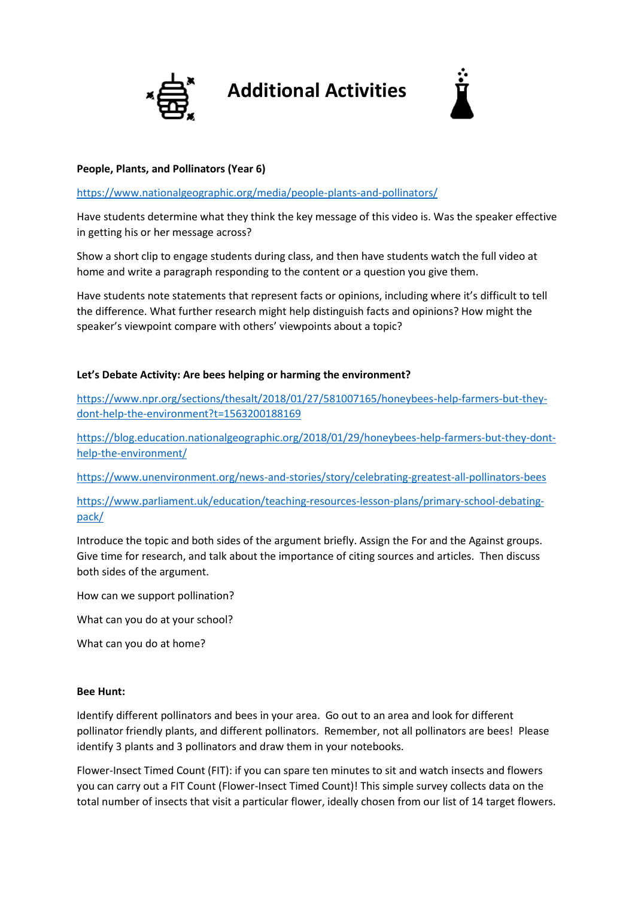

# **Additional Activities**



# **People, Plants, and Pollinators (Year 6)**

<https://www.nationalgeographic.org/media/people-plants-and-pollinators/>

Have students determine what they think the key message of this video is. Was the speaker effective in getting his or her message across?

Show a short clip to engage students during class, and then have students watch the full video at home and write a paragraph responding to the content or a question you give them.

Have students note statements that represent facts or opinions, including where it's difficult to tell the difference. What further research might help distinguish facts and opinions? How might the speaker's viewpoint compare with others' viewpoints about a topic?

# **Let's Debate Activity: Are bees helping or harming the environment?**

[https://www.npr.org/sections/thesalt/2018/01/27/581007165/honeybees-help-farmers-but-they](https://www.npr.org/sections/thesalt/2018/01/27/581007165/honeybees-help-farmers-but-they-dont-help-the-environment?t=1563200188169)[dont-help-the-environment?t=1563200188169](https://www.npr.org/sections/thesalt/2018/01/27/581007165/honeybees-help-farmers-but-they-dont-help-the-environment?t=1563200188169)

[https://blog.education.nationalgeographic.org/2018/01/29/honeybees-help-farmers-but-they-dont](https://blog.education.nationalgeographic.org/2018/01/29/honeybees-help-farmers-but-they-dont-help-the-environment/)[help-the-environment/](https://blog.education.nationalgeographic.org/2018/01/29/honeybees-help-farmers-but-they-dont-help-the-environment/)

<https://www.unenvironment.org/news-and-stories/story/celebrating-greatest-all-pollinators-bees>

[https://www.parliament.uk/education/teaching-resources-lesson-plans/primary-school-debating](https://www.parliament.uk/education/teaching-resources-lesson-plans/primary-school-debating-pack/)[pack/](https://www.parliament.uk/education/teaching-resources-lesson-plans/primary-school-debating-pack/)

Introduce the topic and both sides of the argument briefly. Assign the For and the Against groups. Give time for research, and talk about the importance of citing sources and articles. Then discuss both sides of the argument.

How can we support pollination?

What can you do at your school?

What can you do at home?

#### **Bee Hunt:**

Identify different pollinators and bees in your area. Go out to an area and look for different pollinator friendly plants, and different pollinators. Remember, not all pollinators are bees! Please identify 3 plants and 3 pollinators and draw them in your notebooks.

Flower-Insect Timed Count (FIT): if you can spare ten minutes to sit and watch insects and flowers you can carry out a FIT Count (Flower-Insect Timed Count)! This simple survey collects data on the total number of insects that visit a particular flower, ideally chosen from our list of 14 target flowers.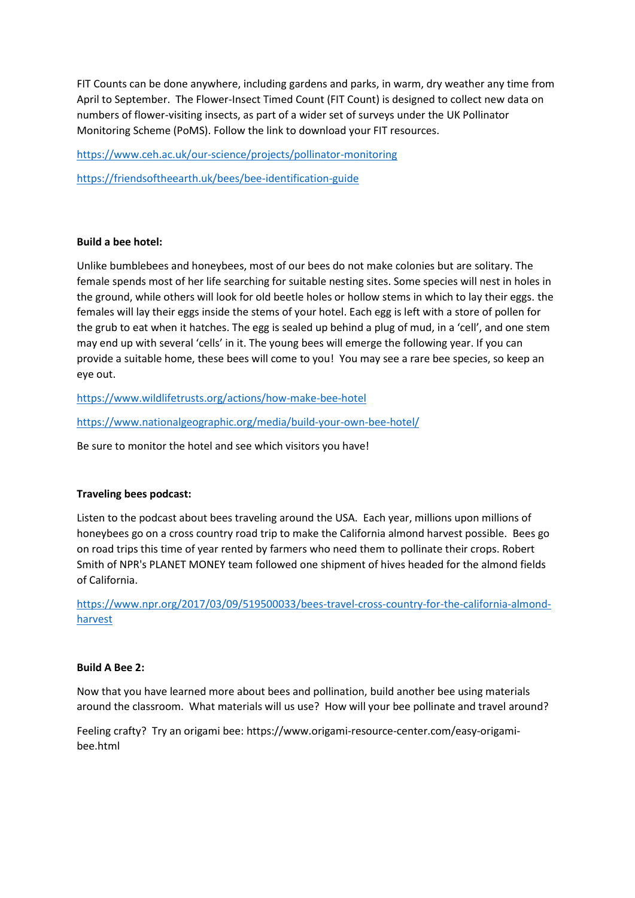FIT Counts can be done anywhere, including gardens and parks, in warm, dry weather any time from April to September. The Flower-Insect Timed Count (FIT Count) is designed to collect new data on numbers of flower-visiting insects, as part of a wider set of surveys under the UK Pollinator Monitoring Scheme (PoMS). Follow the link to download your FIT resources.

<https://www.ceh.ac.uk/our-science/projects/pollinator-monitoring>

<https://friendsoftheearth.uk/bees/bee-identification-guide>

#### **Build a bee hotel:**

Unlike bumblebees and honeybees, most of our bees do not make colonies but are solitary. The female spends most of her life searching for suitable nesting sites. Some species will nest in holes in the ground, while others will look for old beetle holes or hollow stems in which to lay their eggs. the females will lay their eggs inside the stems of your hotel. Each egg is left with a store of pollen for the grub to eat when it hatches. The egg is sealed up behind a plug of mud, in a 'cell', and one stem may end up with several 'cells' in it. The young bees will emerge the following year. If you can provide a suitable home, these bees will come to you! You may see a rare bee species, so keep an eye out.

<https://www.wildlifetrusts.org/actions/how-make-bee-hotel>

<https://www.nationalgeographic.org/media/build-your-own-bee-hotel/>

Be sure to monitor the hotel and see which visitors you have!

#### **Traveling bees podcast:**

Listen to the podcast about bees traveling around the USA. Each year, millions upon millions of honeybees go on a cross country road trip to make the California almond harvest possible. Bees go on road trips this time of year rented by farmers who need them to pollinate their crops. Robert Smith of NPR's PLANET MONEY team followed one shipment of hives headed for the almond fields of California.

[https://www.npr.org/2017/03/09/519500033/bees-travel-cross-country-for-the-california-almond](https://www.npr.org/2017/03/09/519500033/bees-travel-cross-country-for-the-california-almond-harvest)[harvest](https://www.npr.org/2017/03/09/519500033/bees-travel-cross-country-for-the-california-almond-harvest)

#### **Build A Bee 2:**

Now that you have learned more about bees and pollination, build another bee using materials around the classroom. What materials will us use? How will your bee pollinate and travel around?

Feeling crafty? Try an origami bee: https://www.origami-resource-center.com/easy-origamibee.html